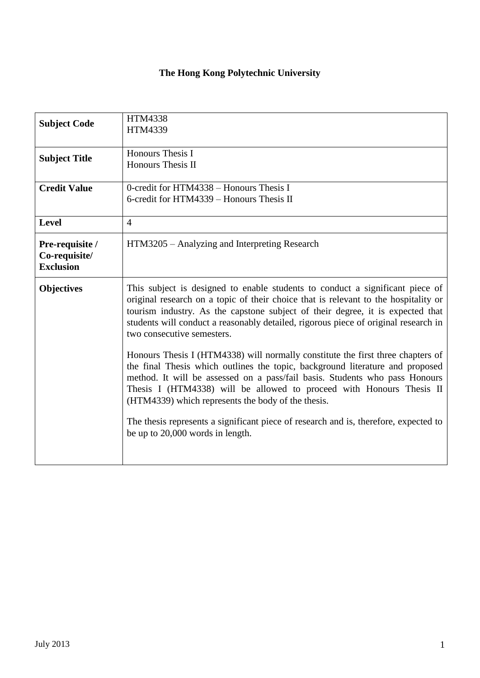## **The Hong Kong Polytechnic University**

| <b>Subject Code</b>                                  | <b>HTM4338</b><br>HTM4339                                                                                                                                                                                                                                                                                                                                                     |
|------------------------------------------------------|-------------------------------------------------------------------------------------------------------------------------------------------------------------------------------------------------------------------------------------------------------------------------------------------------------------------------------------------------------------------------------|
| <b>Subject Title</b>                                 | Honours Thesis I<br><b>Honours Thesis II</b>                                                                                                                                                                                                                                                                                                                                  |
| <b>Credit Value</b>                                  | 0-credit for HTM4338 - Honours Thesis I<br>6-credit for HTM4339 – Honours Thesis II                                                                                                                                                                                                                                                                                           |
| <b>Level</b>                                         | $\overline{4}$                                                                                                                                                                                                                                                                                                                                                                |
| Pre-requisite /<br>Co-requisite/<br><b>Exclusion</b> | HTM3205 – Analyzing and Interpreting Research                                                                                                                                                                                                                                                                                                                                 |
| <b>Objectives</b>                                    | This subject is designed to enable students to conduct a significant piece of<br>original research on a topic of their choice that is relevant to the hospitality or<br>tourism industry. As the capstone subject of their degree, it is expected that<br>students will conduct a reasonably detailed, rigorous piece of original research in<br>two consecutive semesters.   |
|                                                      | Honours Thesis I (HTM4338) will normally constitute the first three chapters of<br>the final Thesis which outlines the topic, background literature and proposed<br>method. It will be assessed on a pass/fail basis. Students who pass Honours<br>Thesis I (HTM4338) will be allowed to proceed with Honours Thesis II<br>(HTM4339) which represents the body of the thesis. |
|                                                      | The thesis represents a significant piece of research and is, therefore, expected to<br>be up to 20,000 words in length.                                                                                                                                                                                                                                                      |